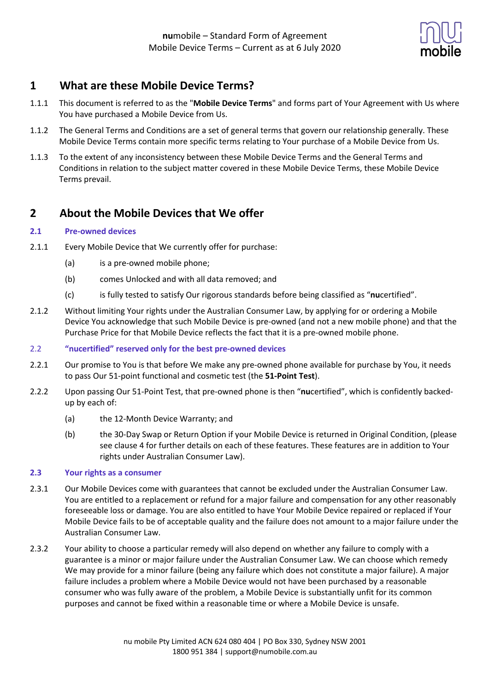

# **1 What are these Mobile Device Terms?**

- 1.1.1 This document is referred to as the "**Mobile Device Terms**" and forms part of Your Agreement with Us where You have purchased a Mobile Device from Us.
- 1.1.2 The General Terms and Conditions are a set of general terms that govern our relationship generally. These Mobile Device Terms contain more specific terms relating to Your purchase of a Mobile Device from Us.
- 1.1.3 To the extent of any inconsistency between these Mobile Device Terms and the General Terms and Conditions in relation to the subject matter covered in these Mobile Device Terms, these Mobile Device Terms prevail.

# **2 About the Mobile Devices that We offer**

#### **2.1 Pre-owned devices**

- 2.1.1 Every Mobile Device that We currently offer for purchase:
	- (a) is a pre-owned mobile phone;
	- (b) comes Unlocked and with all data removed; and
	- (c) is fully tested to satisfy Our rigorous standards before being classified as "**nu**certified".
- 2.1.2 Without limiting Your rights under the Australian Consumer Law, by applying for or ordering a Mobile Device You acknowledge that such Mobile Device is pre-owned (and not a new mobile phone) and that the Purchase Price for that Mobile Device reflects the fact that it is a pre-owned mobile phone.

#### 2.2 **"nucertified" reserved only for the best pre-owned devices**

- 2.2.1 Our promise to You is that before We make any pre-owned phone available for purchase by You, it needs to pass Our 51-point functional and cosmetic test (the **51-Point Test**).
- 2.2.2 Upon passing Our 51-Point Test, that pre-owned phone is then "**nu**certified", which is confidently backedup by each of:
	- (a) the 12-Month Device Warranty; and
	- (b) the 30-Day Swap or Return Option if your Mobile Device is returned in Original Condition, (please see clause 4 for further details on each of these features. These features are in addition to Your rights under Australian Consumer Law).

#### **2.3 Your rights as a consumer**

- 2.3.1 Our Mobile Devices come with guarantees that cannot be excluded under the Australian Consumer Law. You are entitled to a replacement or refund for a major failure and compensation for any other reasonably foreseeable loss or damage. You are also entitled to have Your Mobile Device repaired or replaced if Your Mobile Device fails to be of acceptable quality and the failure does not amount to a major failure under the Australian Consumer Law.
- 2.3.2 Your ability to choose a particular remedy will also depend on whether any failure to comply with a guarantee is a minor or major failure under the Australian Consumer Law. We can choose which remedy We may provide for a minor failure (being any failure which does not constitute a major failure). A major failure includes a problem where a Mobile Device would not have been purchased by a reasonable consumer who was fully aware of the problem, a Mobile Device is substantially unfit for its common purposes and cannot be fixed within a reasonable time or where a Mobile Device is unsafe.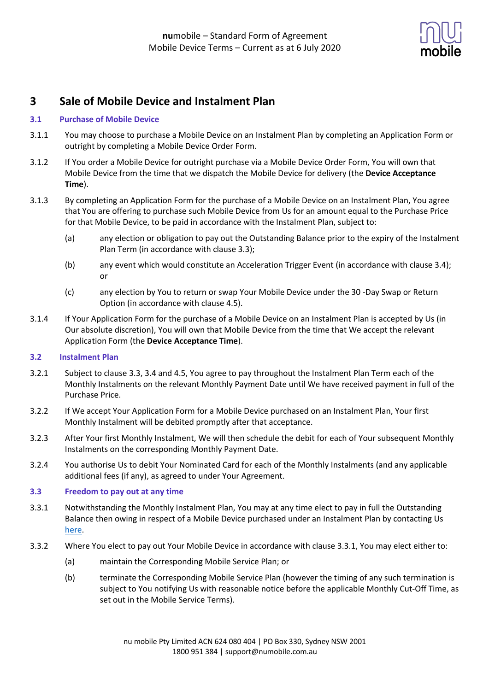

# **3 Sale of Mobile Device and Instalment Plan**

#### **3.1 Purchase of Mobile Device**

- 3.1.1 You may choose to purchase a Mobile Device on an Instalment Plan by completing an Application Form or outright by completing a Mobile Device Order Form.
- 3.1.2 If You order a Mobile Device for outright purchase via a Mobile Device Order Form, You will own that Mobile Device from the time that we dispatch the Mobile Device for delivery (the **Device Acceptance Time**).
- 3.1.3 By completing an Application Form for the purchase of a Mobile Device on an Instalment Plan, You agree that You are offering to purchase such Mobile Device from Us for an amount equal to the Purchase Price for that Mobile Device, to be paid in accordance with the Instalment Plan, subject to:
	- (a) any election or obligation to pay out the Outstanding Balance prior to the expiry of the Instalment Plan Term (in accordance with clause 3.3);
	- (b) any event which would constitute an Acceleration Trigger Event (in accordance with clause 3.4); or
	- (c) any election by You to return or swap Your Mobile Device under the 30 -Day Swap or Return Option (in accordance with clause 4.5).
- 3.1.4 If Your Application Form for the purchase of a Mobile Device on an Instalment Plan is accepted by Us (in Our absolute discretion), You will own that Mobile Device from the time that We accept the relevant Application Form (the **Device Acceptance Time**).

#### **3.2 Instalment Plan**

- 3.2.1 Subject to clause 3.3, 3.4 and 4.5, You agree to pay throughout the Instalment Plan Term each of the Monthly Instalments on the relevant Monthly Payment Date until We have received payment in full of the Purchase Price.
- 3.2.2 If We accept Your Application Form for a Mobile Device purchased on an Instalment Plan, Your first Monthly Instalment will be debited promptly after that acceptance.
- 3.2.3 After Your first Monthly Instalment, We will then schedule the debit for each of Your subsequent Monthly Instalments on the corresponding Monthly Payment Date.
- 3.2.4 You authorise Us to debit Your Nominated Card for each of the Monthly Instalments (and any applicable additional fees (if any), as agreed to under Your Agreement.

#### **3.3 Freedom to pay out at any time**

- 3.3.1 Notwithstanding the Monthly Instalment Plan, You may at any time elect to pay in full the Outstanding Balance then owing in respect of a Mobile Device purchased under an Instalment Plan by contacting Us here.
- 3.3.2 Where You elect to pay out Your Mobile Device in accordance with clause 3.3.1, You may elect either to:
	- (a) maintain the Corresponding Mobile Service Plan; or
	- (b) terminate the Corresponding Mobile Service Plan (however the timing of any such termination is subject to You notifying Us with reasonable notice before the applicable Monthly Cut-Off Time, as set out in the Mobile Service Terms).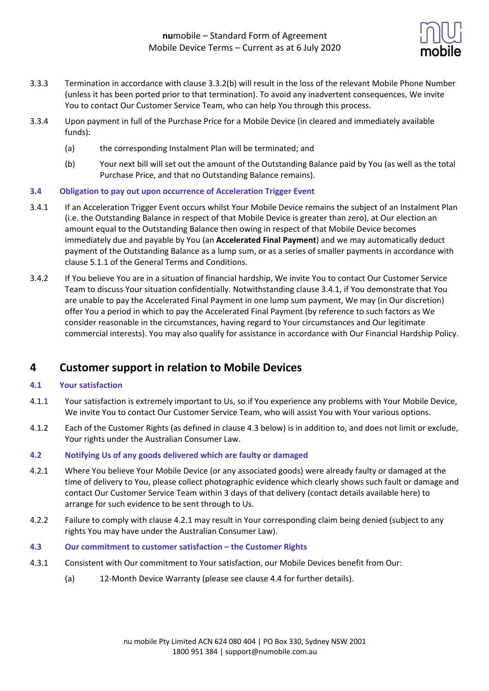

- 3.3.3 Termination in accordance with clause 3.3.2(b) will result in the loss of the relevant Mobile Phone Number (unless it has been ported prior to that termination). To avoid any inadvertent consequences, We invite You to contact Our Customer Service Team, who can help You through this process.
- 3.3.4 Upon payment in full of the Purchase Price for a Mobile Device (in cleared and immediately available funds):
	- (a) the corresponding Instalment Plan will be terminated; and
	- (b) Your next bill will set out the amount of the Outstanding Balance paid by You (as well as the total Purchase Price, and that no Outstanding Balance remains).

#### **3.4 Obligation to pay out upon occurrence of Acceleration Trigger Event**

- 3.4.1 If an Acceleration Trigger Event occurs whilst Your Mobile Device remains the subject of an Instalment Plan (i.e. the Outstanding Balance in respect of that Mobile Device is greater than zero), at Our election an amount equal to the Outstanding Balance then owing in respect of that Mobile Device becomes immediately due and payable by You (an **Accelerated Final Payment**) and we may automatically deduct payment of the Outstanding Balance as a lump sum, or as a series of smaller payments in accordance with clause 5.1.1 of the General Terms and Conditions.
- 3.4.2 If You believe You are in a situation of financial hardship, We invite You to contact Our Customer Service Team to discuss Your situation confidentially. Notwithstanding clause 3.4.1, if You demonstrate that You are unable to pay the Accelerated Final Payment in one lump sum payment, We may (in Our discretion) offer You a period in which to pay the Accelerated Final Payment (by reference to such factors as We consider reasonable in the circumstances, having regard to Your circumstances and Our legitimate commercial interests). You may also qualify for assistance in accordance with Our Financial Hardship Policy.

## **4 Customer support in relation to Mobile Devices**

#### **4.1 Your satisfaction**

- 4.1.1 Your satisfaction is extremely important to Us, so if You experience any problems with Your Mobile Device, We invite You to contact Our Customer Service Team, who will assist You with Your various options.
- 4.1.2 Each of the Customer Rights (as defined in clause 4.3 below) is in addition to, and does not limit or exclude, Your rights under the Australian Consumer Law.

#### **4.2 Notifying Us of any goods delivered which are faulty or damaged**

- 4.2.1 Where You believe Your Mobile Device (or any associated goods) were already faulty or damaged at the time of delivery to You, please collect photographic evidence which clearly shows such fault or damage and contact Our Customer Service Team within 3 days of that delivery (contact details available here) to arrange for such evidence to be sent through to Us.
- 4.2.2 Failure to comply with clause 4.2.1 may result in Your corresponding claim being denied (subject to any rights You may have under the Australian Consumer Law).
- **4.3 Our commitment to customer satisfaction – the Customer Rights**
- 4.3.1 Consistent with Our commitment to Your satisfaction, our Mobile Devices benefit from Our:
	- (a) 12-Month Device Warranty (please see clause 4.4 for further details).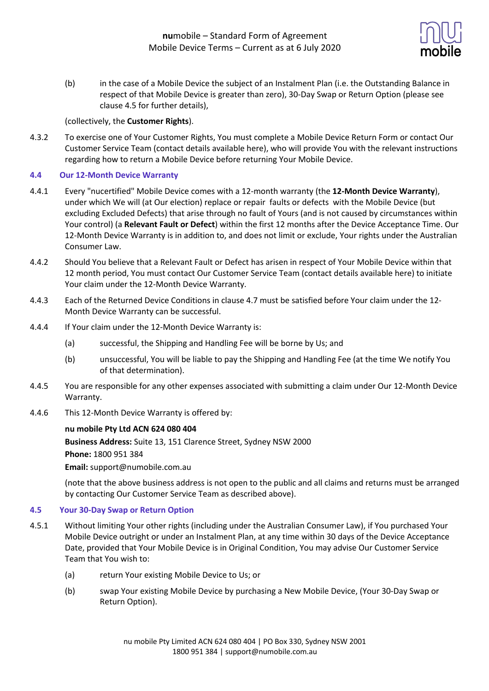

(b) in the case of a Mobile Device the subject of an Instalment Plan (i.e. the Outstanding Balance in respect of that Mobile Device is greater than zero), 30-Day Swap or Return Option (please see clause 4.5 for further details),

#### (collectively, the **Customer Rights**).

4.3.2 To exercise one of Your Customer Rights, You must complete a Mobile Device Return Form or contact Our Customer Service Team (contact details available here), who will provide You with the relevant instructions regarding how to return a Mobile Device before returning Your Mobile Device.

#### **4.4 Our 12-Month Device Warranty**

- 4.4.1 Every "nucertified" Mobile Device comes with a 12-month warranty (the **12-Month Device Warranty**), under which We will (at Our election) replace or repair faults or defects with the Mobile Device (but excluding Excluded Defects) that arise through no fault of Yours (and is not caused by circumstances within Your control) (a **Relevant Fault or Defect**) within the first 12 months after the Device Acceptance Time. Our 12-Month Device Warranty is in addition to, and does not limit or exclude, Your rights under the Australian Consumer Law.
- 4.4.2 Should You believe that a Relevant Fault or Defect has arisen in respect of Your Mobile Device within that 12 month period, You must contact Our Customer Service Team (contact details available here) to initiate Your claim under the 12-Month Device Warranty.
- 4.4.3 Each of the Returned Device Conditions in clause 4.7 must be satisfied before Your claim under the 12- Month Device Warranty can be successful.
- 4.4.4 If Your claim under the 12-Month Device Warranty is:
	- (a) successful, the Shipping and Handling Fee will be borne by Us; and
	- (b) unsuccessful, You will be liable to pay the Shipping and Handling Fee (at the time We notify You of that determination).
- 4.4.5 You are responsible for any other expenses associated with submitting a claim under Our 12-Month Device Warranty.
- 4.4.6 This 12-Month Device Warranty is offered by:

#### **nu mobile Pty Ltd ACN 624 080 404**

**Business Address:** Suite 13, 151 Clarence Street, Sydney NSW 2000

**Phone:** 1800 951 384

**Email:** support@numobile.com.au

(note that the above business address is not open to the public and all claims and returns must be arranged by contacting Our Customer Service Team as described above).

#### **4.5 Your 30-Day Swap or Return Option**

- 4.5.1 Without limiting Your other rights (including under the Australian Consumer Law), if You purchased Your Mobile Device outright or under an Instalment Plan, at any time within 30 days of the Device Acceptance Date, provided that Your Mobile Device is in Original Condition, You may advise Our Customer Service Team that You wish to:
	- (a) return Your existing Mobile Device to Us; or
	- (b) swap Your existing Mobile Device by purchasing a New Mobile Device, (Your 30-Day Swap or Return Option).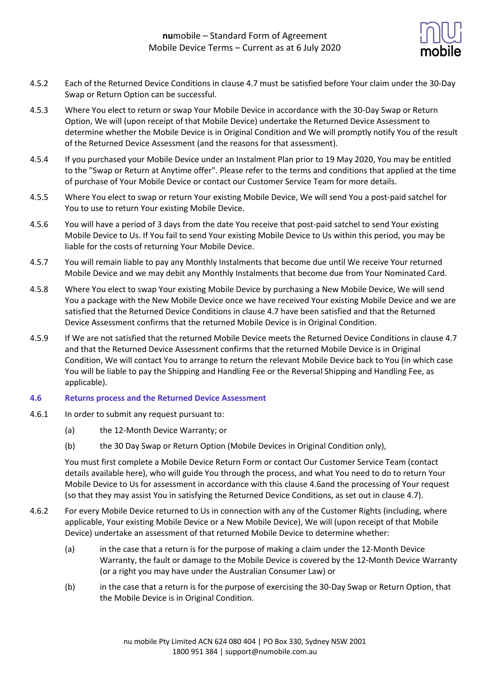

- 4.5.2 Each of the Returned Device Conditions in clause 4.7 must be satisfied before Your claim under the 30-Day Swap or Return Option can be successful.
- 4.5.3 Where You elect to return or swap Your Mobile Device in accordance with the 30-Day Swap or Return Option, We will (upon receipt of that Mobile Device) undertake the Returned Device Assessment to determine whether the Mobile Device is in Original Condition and We will promptly notify You of the result of the Returned Device Assessment (and the reasons for that assessment).
- 4.5.4 If you purchased your Mobile Device under an Instalment Plan prior to 19 May 2020, You may be entitled to the "Swap or Return at Anytime offer". Please refer to the terms and conditions that applied at the time of purchase of Your Mobile Device or contact our Customer Service Team for more details.
- 4.5.5 Where You elect to swap or return Your existing Mobile Device, We will send You a post-paid satchel for You to use to return Your existing Mobile Device.
- 4.5.6 You will have a period of 3 days from the date You receive that post-paid satchel to send Your existing Mobile Device to Us. If You fail to send Your existing Mobile Device to Us within this period, you may be liable for the costs of returning Your Mobile Device.
- 4.5.7 You will remain liable to pay any Monthly Instalments that become due until We receive Your returned Mobile Device and we may debit any Monthly Instalments that become due from Your Nominated Card.
- 4.5.8 Where You elect to swap Your existing Mobile Device by purchasing a New Mobile Device, We will send You a package with the New Mobile Device once we have received Your existing Mobile Device and we are satisfied that the Returned Device Conditions in clause 4.7 have been satisfied and that the Returned Device Assessment confirms that the returned Mobile Device is in Original Condition.
- 4.5.9 If We are not satisfied that the returned Mobile Device meets the Returned Device Conditions in clause 4.7 and that the Returned Device Assessment confirms that the returned Mobile Device is in Original Condition, We will contact You to arrange to return the relevant Mobile Device back to You (in which case You will be liable to pay the Shipping and Handling Fee or the Reversal Shipping and Handling Fee, as applicable).

#### **4.6 Returns process and the Returned Device Assessment**

- 4.6.1 In order to submit any request pursuant to:
	- (a) the 12-Month Device Warranty; or
	- (b) the 30 Day Swap or Return Option (Mobile Devices in Original Condition only),

You must first complete a Mobile Device Return Form or contact Our Customer Service Team (contact details available here), who will guide You through the process, and what You need to do to return Your Mobile Device to Us for assessment in accordance with this clause 4.6and the processing of Your request (so that they may assist You in satisfying the Returned Device Conditions, as set out in clause 4.7).

- 4.6.2 For every Mobile Device returned to Us in connection with any of the Customer Rights (including, where applicable, Your existing Mobile Device or a New Mobile Device), We will (upon receipt of that Mobile Device) undertake an assessment of that returned Mobile Device to determine whether:
	- (a) in the case that a return is for the purpose of making a claim under the 12-Month Device Warranty, the fault or damage to the Mobile Device is covered by the 12-Month Device Warranty (or a right you may have under the Australian Consumer Law) or
	- (b) in the case that a return is for the purpose of exercising the 30-Day Swap or Return Option, that the Mobile Device is in Original Condition.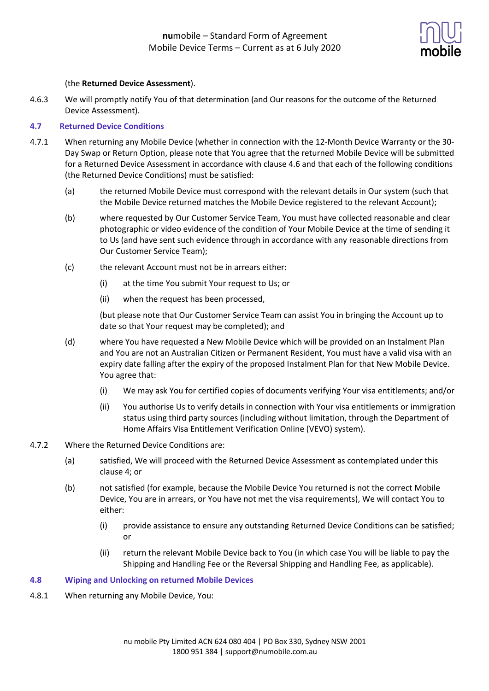

#### (the **Returned Device Assessment**).

4.6.3 We will promptly notify You of that determination (and Our reasons for the outcome of the Returned Device Assessment).

#### **4.7 Returned Device Conditions**

- 4.7.1 When returning any Mobile Device (whether in connection with the 12-Month Device Warranty or the 30- Day Swap or Return Option, please note that You agree that the returned Mobile Device will be submitted for a Returned Device Assessment in accordance with clause 4.6 and that each of the following conditions (the Returned Device Conditions) must be satisfied:
	- (a) the returned Mobile Device must correspond with the relevant details in Our system (such that the Mobile Device returned matches the Mobile Device registered to the relevant Account);
	- (b) where requested by Our Customer Service Team, You must have collected reasonable and clear photographic or video evidence of the condition of Your Mobile Device at the time of sending it to Us (and have sent such evidence through in accordance with any reasonable directions from Our Customer Service Team);
	- (c) the relevant Account must not be in arrears either:
		- (i) at the time You submit Your request to Us; or
		- (ii) when the request has been processed,

(but please note that Our Customer Service Team can assist You in bringing the Account up to date so that Your request may be completed); and

- (d) where You have requested a New Mobile Device which will be provided on an Instalment Plan and You are not an Australian Citizen or Permanent Resident, You must have a valid visa with an expiry date falling after the expiry of the proposed Instalment Plan for that New Mobile Device. You agree that:
	- (i) We may ask You for certified copies of documents verifying Your visa entitlements; and/or
	- (ii) You authorise Us to verify details in connection with Your visa entitlements or immigration status using third party sources (including without limitation, through the Department of Home Affairs Visa Entitlement Verification Online (VEVO) system).
- 4.7.2 Where the Returned Device Conditions are:
	- (a) satisfied, We will proceed with the Returned Device Assessment as contemplated under this clause 4; or
	- (b) not satisfied (for example, because the Mobile Device You returned is not the correct Mobile Device, You are in arrears, or You have not met the visa requirements), We will contact You to either:
		- (i) provide assistance to ensure any outstanding Returned Device Conditions can be satisfied; or
		- (ii) return the relevant Mobile Device back to You (in which case You will be liable to pay the Shipping and Handling Fee or the Reversal Shipping and Handling Fee, as applicable).

#### **4.8 Wiping and Unlocking on returned Mobile Devices**

4.8.1 When returning any Mobile Device, You: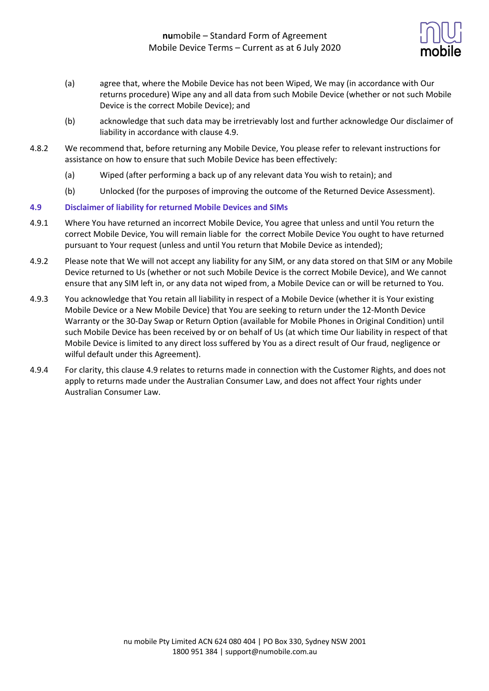

- (a) agree that, where the Mobile Device has not been Wiped, We may (in accordance with Our returns procedure) Wipe any and all data from such Mobile Device (whether or not such Mobile Device is the correct Mobile Device); and
- (b) acknowledge that such data may be irretrievably lost and further acknowledge Our disclaimer of liability in accordance with clause 4.9.
- 4.8.2 We recommend that, before returning any Mobile Device, You please refer to relevant instructions for assistance on how to ensure that such Mobile Device has been effectively:
	- (a) Wiped (after performing a back up of any relevant data You wish to retain); and
	- (b) Unlocked (for the purposes of improving the outcome of the Returned Device Assessment).

#### **4.9 Disclaimer of liability for returned Mobile Devices and SIMs**

- 4.9.1 Where You have returned an incorrect Mobile Device, You agree that unless and until You return the correct Mobile Device, You will remain liable for the correct Mobile Device You ought to have returned pursuant to Your request (unless and until You return that Mobile Device as intended);
- 4.9.2 Please note that We will not accept any liability for any SIM, or any data stored on that SIM or any Mobile Device returned to Us (whether or not such Mobile Device is the correct Mobile Device), and We cannot ensure that any SIM left in, or any data not wiped from, a Mobile Device can or will be returned to You.
- 4.9.3 You acknowledge that You retain all liability in respect of a Mobile Device (whether it is Your existing Mobile Device or a New Mobile Device) that You are seeking to return under the 12-Month Device Warranty or the 30-Day Swap or Return Option (available for Mobile Phones in Original Condition) until such Mobile Device has been received by or on behalf of Us (at which time Our liability in respect of that Mobile Device is limited to any direct loss suffered by You as a direct result of Our fraud, negligence or wilful default under this Agreement).
- 4.9.4 For clarity, this clause 4.9 relates to returns made in connection with the Customer Rights, and does not apply to returns made under the Australian Consumer Law, and does not affect Your rights under Australian Consumer Law.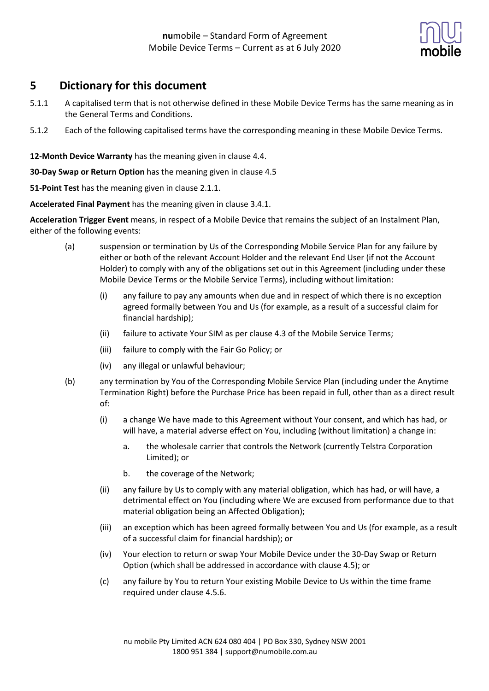

# **5 Dictionary for this document**

- 5.1.1 A capitalised term that is not otherwise defined in these Mobile Device Terms has the same meaning as in the General Terms and Conditions.
- 5.1.2 Each of the following capitalised terms have the corresponding meaning in these Mobile Device Terms.

**12-Month Device Warranty** has the meaning given in clause 4.4.

**30-Day Swap or Return Option** has the meaning given in clause 4.5

**51-Point Test** has the meaning given in clause 2.1.1.

**Accelerated Final Payment** has the meaning given in clause 3.4.1.

**Acceleration Trigger Event** means, in respect of a Mobile Device that remains the subject of an Instalment Plan, either of the following events:

- (a) suspension or termination by Us of the Corresponding Mobile Service Plan for any failure by either or both of the relevant Account Holder and the relevant End User (if not the Account Holder) to comply with any of the obligations set out in this Agreement (including under these Mobile Device Terms or the Mobile Service Terms), including without limitation:
	- (i) any failure to pay any amounts when due and in respect of which there is no exception agreed formally between You and Us (for example, as a result of a successful claim for financial hardship);
	- (ii) failure to activate Your SIM as per clause 4.3 of the Mobile Service Terms;
	- (iii) failure to comply with the Fair Go Policy; or
	- (iv) any illegal or unlawful behaviour;
- (b) any termination by You of the Corresponding Mobile Service Plan (including under the Anytime Termination Right) before the Purchase Price has been repaid in full, other than as a direct result of:
	- (i) a change We have made to this Agreement without Your consent, and which has had, or will have, a material adverse effect on You, including (without limitation) a change in:
		- a. the wholesale carrier that controls the Network (currently Telstra Corporation Limited); or
		- b. the coverage of the Network;
	- (ii) any failure by Us to comply with any material obligation, which has had, or will have, a detrimental effect on You (including where We are excused from performance due to that material obligation being an Affected Obligation);
	- (iii) an exception which has been agreed formally between You and Us (for example, as a result of a successful claim for financial hardship); or
	- (iv) Your election to return or swap Your Mobile Device under the 30-Day Swap or Return Option (which shall be addressed in accordance with clause 4.5); or
	- (c) any failure by You to return Your existing Mobile Device to Us within the time frame required under clause 4.5.6.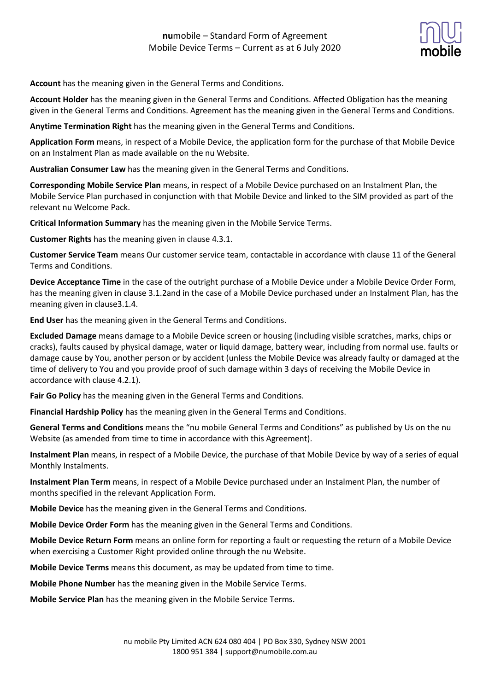

**Account** has the meaning given in the General Terms and Conditions.

**Account Holder** has the meaning given in the General Terms and Conditions. Affected Obligation has the meaning given in the General Terms and Conditions. Agreement has the meaning given in the General Terms and Conditions.

**Anytime Termination Right** has the meaning given in the General Terms and Conditions.

**Application Form** means, in respect of a Mobile Device, the application form for the purchase of that Mobile Device on an Instalment Plan as made available on the nu Website.

**Australian Consumer Law** has the meaning given in the General Terms and Conditions.

**Corresponding Mobile Service Plan** means, in respect of a Mobile Device purchased on an Instalment Plan, the Mobile Service Plan purchased in conjunction with that Mobile Device and linked to the SIM provided as part of the relevant nu Welcome Pack.

**Critical Information Summary** has the meaning given in the Mobile Service Terms.

**Customer Rights** has the meaning given in clause 4.3.1.

**Customer Service Team** means Our customer service team, contactable in accordance with clause 11 of the General Terms and Conditions.

**Device Acceptance Time** in the case of the outright purchase of a Mobile Device under a Mobile Device Order Form, has the meaning given in clause 3.1.2and in the case of a Mobile Device purchased under an Instalment Plan, has the meaning given in clause3.1.4.

**End User** has the meaning given in the General Terms and Conditions.

**Excluded Damage** means damage to a Mobile Device screen or housing (including visible scratches, marks, chips or cracks), faults caused by physical damage, water or liquid damage, battery wear, including from normal use. faults or damage cause by You, another person or by accident (unless the Mobile Device was already faulty or damaged at the time of delivery to You and you provide proof of such damage within 3 days of receiving the Mobile Device in accordance with clause 4.2.1).

**Fair Go Policy** has the meaning given in the General Terms and Conditions.

**Financial Hardship Policy** has the meaning given in the General Terms and Conditions.

**General Terms and Conditions** means the "nu mobile General Terms and Conditions" as published by Us on the nu Website (as amended from time to time in accordance with this Agreement).

**Instalment Plan** means, in respect of a Mobile Device, the purchase of that Mobile Device by way of a series of equal Monthly Instalments.

**Instalment Plan Term** means, in respect of a Mobile Device purchased under an Instalment Plan, the number of months specified in the relevant Application Form.

**Mobile Device** has the meaning given in the General Terms and Conditions.

**Mobile Device Order Form** has the meaning given in the General Terms and Conditions.

**Mobile Device Return Form** means an online form for reporting a fault or requesting the return of a Mobile Device when exercising a Customer Right provided online through the nu Website.

**Mobile Device Terms** means this document, as may be updated from time to time.

**Mobile Phone Number** has the meaning given in the Mobile Service Terms.

**Mobile Service Plan** has the meaning given in the Mobile Service Terms.